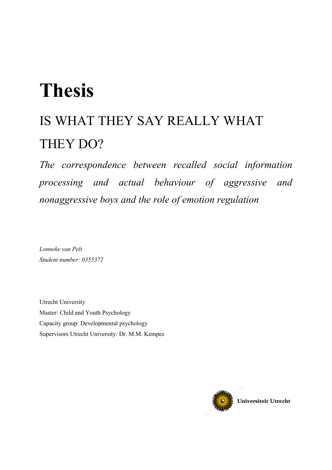# Thesis

## IS WHAT THEY SAY REALLY WHAT THEY DO?

The correspondence between recalled social information processing and actual behaviour of aggressive and nonaggressive boys and the role of emotion regulation

Lonneke van Pelt Student number: 0355372

Utrecht University Master: Child and Youth Psychology Capacity group: Developmental psychology Supervisors Utrecht University: Dr. M.M. Kempes

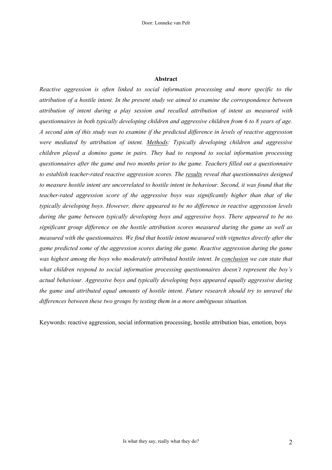#### Abstract

Reactive aggression is often linked to social information processing and more specific to the attribution of a hostile intent. In the present study we aimed to examine the correspondence between attribution of intent during a play session and recalled attribution of intent as measured with questionnaires in both typically developing children and aggressive children from 6 to 8 years of age. A second aim of this study was to examine if the predicted difference in levels of reactive aggression were mediated by attribution of intent. Methods: Typically developing children and aggressive children played a domino game in pairs. They had to respond to social information processing questionnaires after the game and two months prior to the game. Teachers filled out a questionnaire to establish teacher-rated reactive aggression scores. The results reveal that questionnaires designed to measure hostile intent are uncorrelated to hostile intent in behaviour. Second, it was found that the teacher-rated aggression score of the aggressive boys was significantly higher than that of the typically developing boys. However, there appeared to be no difference in reactive aggression levels during the game between typically developing boys and aggressive boys. There appeared to be no significant group difference on the hostile attribution scores measured during the game as well as measured with the questionnaires. We find that hostile intent measured with vignettes directly after the game predicted some of the aggression scores during the game. Reactive aggression during the game was highest among the boys who moderately attributed hostile intent. In conclusion we can state that what children respond to social information processing questionnaires doesn't represent the boy's actual behaviour. Aggressive boys and typically developing boys appeared equally aggressive during the game and attributed equal amounts of hostile intent. Future research should try to unravel the differences between these two groups by testing them in a more ambiguous situation.

Keywords: reactive aggression, social information processing, hostile attribution bias, emotion, boys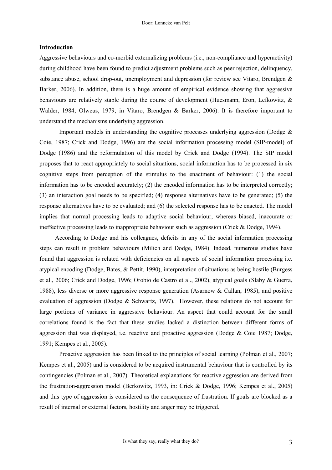#### Introduction

Aggressive behaviours and co-morbid externalizing problems (i.e., non-compliance and hyperactivity) during childhood have been found to predict adjustment problems such as peer rejection, delinquency, substance abuse, school drop-out, unemployment and depression (for review see Vitaro, Brendgen & Barker, 2006). In addition, there is a huge amount of empirical evidence showing that aggressive behaviours are relatively stable during the course of development (Huesmann, Eron, Lefkowitz, & Walder, 1984; Olweus, 1979; in Vitaro, Brendgen & Barker, 2006). It is therefore important to understand the mechanisms underlying aggression.

Important models in understanding the cognitive processes underlying aggression (Dodge  $\&$ Coie, 1987; Crick and Dodge, 1996) are the social information processing model (SIP-model) of Dodge (1986) and the reformulation of this model by Crick and Dodge (1994). The SIP model proposes that to react appropriately to social situations, social information has to be processed in six cognitive steps from perception of the stimulus to the enactment of behaviour: (1) the social information has to be encoded accurately; (2) the encoded information has to be interpreted correctly; (3) an interaction goal needs to be specified; (4) response alternatives have to be generated; (5) the response alternatives have to be evaluated; and (6) the selected response has to be enacted. The model implies that normal processing leads to adaptive social behaviour, whereas biased, inaccurate or ineffective processing leads to inappropriate behaviour such as aggression (Crick & Dodge, 1994).

 According to Dodge and his colleagues, deficits in any of the social information processing steps can result in problem behaviours (Milich and Dodge, 1984). Indeed, numerous studies have found that aggression is related with deficiencies on all aspects of social information processing i.e. atypical encoding (Dodge, Bates, & Pettit, 1990), interpretation of situations as being hostile (Burgess et al., 2006; Crick and Dodge, 1996; Orobio de Castro et al., 2002), atypical goals (Slaby & Guerra, 1988), less diverse or more aggressive response generation (Asarnow & Callan, 1985), and positive evaluation of aggression (Dodge & Schwartz, 1997). However, these relations do not account for large portions of variance in aggressive behaviour. An aspect that could account for the small correlations found is the fact that these studies lacked a distinction between different forms of aggression that was displayed, i.e. reactive and proactive aggression (Dodge & Coie 1987; Dodge, 1991; Kempes et al., 2005).

Proactive aggression has been linked to the principles of social learning (Polman et al., 2007; Kempes et al., 2005) and is considered to be acquired instrumental behaviour that is controlled by its contingencies (Polman et al., 2007). Theoretical explanations for reactive aggression are derived from the frustration-aggression model (Berkowitz, 1993, in: Crick & Dodge, 1996; Kempes et al., 2005) and this type of aggression is considered as the consequence of frustration. If goals are blocked as a result of internal or external factors, hostility and anger may be triggered.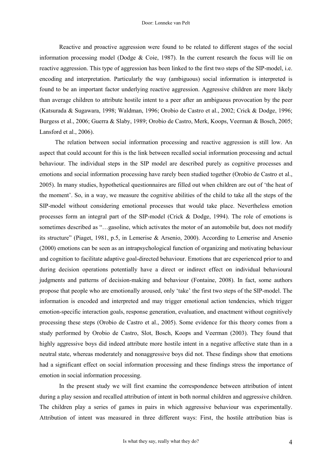Reactive and proactive aggression were found to be related to different stages of the social information processing model (Dodge & Coie, 1987). In the current research the focus will lie on reactive aggression. This type of aggression has been linked to the first two steps of the SIP-model, i.e. encoding and interpretation. Particularly the way (ambiguous) social information is interpreted is found to be an important factor underlying reactive aggression. Aggressive children are more likely than average children to attribute hostile intent to a peer after an ambiguous provocation by the peer (Katsurada & Sugawara, 1998; Waldman, 1996; Orobio de Castro et al., 2002; Crick & Dodge, 1996; Burgess et al., 2006; Guerra & Slaby, 1989; Orobio de Castro, Merk, Koops, Veerman & Bosch, 2005; Lansford et al., 2006).

 The relation between social information processing and reactive aggression is still low. An aspect that could account for this is the link between recalled social information processing and actual behaviour. The individual steps in the SIP model are described purely as cognitive processes and emotions and social information processing have rarely been studied together (Orobio de Castro et al., 2005). In many studies, hypothetical questionnaires are filled out when children are out of 'the heat of the moment'. So, in a way, we measure the cognitive abilities of the child to take all the steps of the SIP-model without considering emotional processes that would take place. Nevertheless emotion processes form an integral part of the SIP-model (Crick & Dodge, 1994). The role of emotions is sometimes described as "...gasoline, which activates the motor of an automobile but, does not modify its structure" (Piaget, 1981, p.5, in Lemerise & Arsenio, 2000). According to Lemerise and Arsenio (2000) emotions can be seen as an intrapsychological function of organizing and motivating behaviour and cognition to facilitate adaptive goal-directed behaviour. Emotions that are experienced prior to and during decision operations potentially have a direct or indirect effect on individual behavioural judgments and patterns of decision-making and behaviour (Fontaine, 2008). In fact, some authors propose that people who are emotionally aroused, only 'take' the first two steps of the SIP-model. The information is encoded and interpreted and may trigger emotional action tendencies, which trigger emotion-specific interaction goals, response generation, evaluation, and enactment without cognitively processing these steps (Orobio de Castro et al., 2005). Some evidence for this theory comes from a study performed by Orobio de Castro, Slot, Bosch, Koops and Veerman (2003). They found that highly aggressive boys did indeed attribute more hostile intent in a negative affective state than in a neutral state, whereas moderately and nonaggressive boys did not. These findings show that emotions had a significant effect on social information processing and these findings stress the importance of emotion in social information processing.

In the present study we will first examine the correspondence between attribution of intent during a play session and recalled attribution of intent in both normal children and aggressive children. The children play a series of games in pairs in which aggressive behaviour was experimentally. Attribution of intent was measured in three different ways: First, the hostile attribution bias is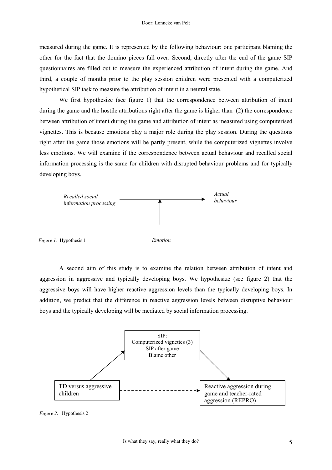measured during the game. It is represented by the following behaviour: one participant blaming the other for the fact that the domino pieces fall over. Second, directly after the end of the game SIP questionnaires are filled out to measure the experienced attribution of intent during the game. And third, a couple of months prior to the play session children were presented with a computerized hypothetical SIP task to measure the attribution of intent in a neutral state.

We first hypothesize (see figure 1) that the correspondence between attribution of intent during the game and the hostile attributions right after the game is higher than (2) the correspondence between attribution of intent during the game and attribution of intent as measured using computerised vignettes. This is because emotions play a major role during the play session. During the questions right after the game those emotions will be partly present, while the computerized vignettes involve less emotions. We will examine if the correspondence between actual behaviour and recalled social information processing is the same for children with disrupted behaviour problems and for typically developing boys.



 A second aim of this study is to examine the relation between attribution of intent and aggression in aggressive and typically developing boys. We hypothesize (see figure 2) that the aggressive boys will have higher reactive aggression levels than the typically developing boys. In addition, we predict that the difference in reactive aggression levels between disruptive behaviour boys and the typically developing will be mediated by social information processing.



Figure 2. Hypothesis 2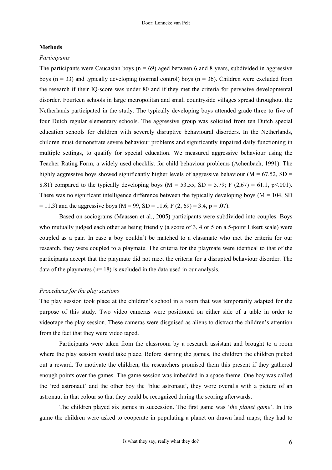#### **Methods**

#### Participants

The participants were Caucasian boys ( $n = 69$ ) aged between 6 and 8 years, subdivided in aggressive boys ( $n = 33$ ) and typically developing (normal control) boys ( $n = 36$ ). Children were excluded from the research if their IQ-score was under 80 and if they met the criteria for pervasive developmental disorder. Fourteen schools in large metropolitan and small countryside villages spread throughout the Netherlands participated in the study. The typically developing boys attended grade three to five of four Dutch regular elementary schools. The aggressive group was solicited from ten Dutch special education schools for children with severely disruptive behavioural disorders. In the Netherlands, children must demonstrate severe behaviour problems and significantly impaired daily functioning in multiple settings, to qualify for special education. We measured aggressive behaviour using the Teacher Rating Form, a widely used checklist for child behaviour problems (Achenbach, 1991). The highly aggressive boys showed significantly higher levels of aggressive behaviour ( $M = 67.52$ , SD = 8.81) compared to the typically developing boys (M = 53.55, SD = 5.79; F (2,67) = 61.1, p<.001). There was no significant intelligence difference between the typically developing boys ( $M = 104$ , SD  $= 11.3$ ) and the aggressive boys (M = 99, SD = 11.6; F (2, 69) = 3.4, p = .07).

Based on sociograms (Maassen et al., 2005) participants were subdivided into couples. Boys who mutually judged each other as being friendly (a score of 3, 4 or 5 on a 5-point Likert scale) were coupled as a pair. In case a boy couldn't be matched to a classmate who met the criteria for our research, they were coupled to a playmate. The criteria for the playmate were identical to that of the participants accept that the playmate did not meet the criteria for a disrupted behaviour disorder. The data of the playmates ( $n= 18$ ) is excluded in the data used in our analysis.

#### Procedures for the play sessions

The play session took place at the children's school in a room that was temporarily adapted for the purpose of this study. Two video cameras were positioned on either side of a table in order to videotape the play session. These cameras were disguised as aliens to distract the children's attention from the fact that they were video taped.

Participants were taken from the classroom by a research assistant and brought to a room where the play session would take place. Before starting the games, the children the children picked out a reward. To motivate the children, the researchers promised them this present if they gathered enough points over the games. The game session was imbedded in a space theme. One boy was called the 'red astronaut' and the other boy the 'blue astronaut', they wore overalls with a picture of an astronaut in that colour so that they could be recognized during the scoring afterwards.

The children played six games in succession. The first game was 'the planet game'. In this game the children were asked to cooperate in populating a planet on drawn land maps; they had to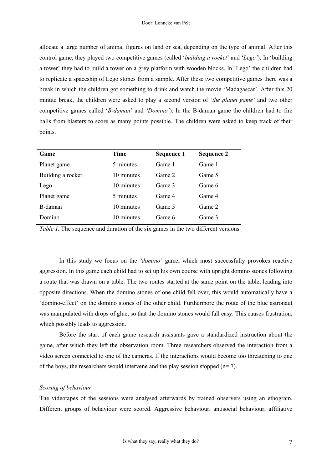allocate a large number of animal figures on land or sea, depending on the type of animal. After this control game, they played two competitive games (called 'building a rocket' and 'Lego'). In 'building a tower' they had to build a tower on a grey platform with wooden blocks. In 'Lego' the children had to replicate a spaceship of Lego stones from a sample. After these two competitive games there was a break in which the children got something to drink and watch the movie 'Madagascar'. After this 20 minute break, the children were asked to play a second version of 'the planet game' and two other competitive games called 'B-daman' and 'Domino'). In the B-daman game the children had to fire balls from blasters to score as many points possible. The children were asked to keep track of their points.

| Time       | Sequence 1 | <b>Sequence 2</b> |
|------------|------------|-------------------|
| 5 minutes  | Game 1     | Game 1            |
| 10 minutes | Game 2     | Game 5            |
| 10 minutes | Game 3     | Game 6            |
| 5 minutes  | Game 4     | Game 4            |
| 10 minutes | Game 5     | Game 2            |
| 10 minutes | Game 6     | Game 3            |
|            |            |                   |

Table 1. The sequence and duration of the six games in the two different versions

In this study we focus on the *'domino'* game, which most successfully provokes reactive aggression. In this game each child had to set up his own course with upright domino stones following a route that was drawn on a table. The two routes started at the same point on the table, leading into opposite directions. When the domino stones of one child fell over, this would automatically have a 'domino-effect' on the domino stones of the other child. Furthermore the route of the blue astronaut was manipulated with drops of glue, so that the domino stones would fall easy. This causes frustration, which possibly leads to aggression.

Before the start of each game research assistants gave a standardized instruction about the game, after which they left the observation room. Three researchers observed the interaction from a video screen connected to one of the cameras. If the interactions would become too threatening to one of the boys, the researchers would intervene and the play session stopped  $(n=7)$ .

#### Scoring of behaviour

The videotapes of the sessions were analysed afterwards by trained observers using an ethogram. Different groups of behaviour were scored. Aggressive behaviour, antisocial behaviour, affiliative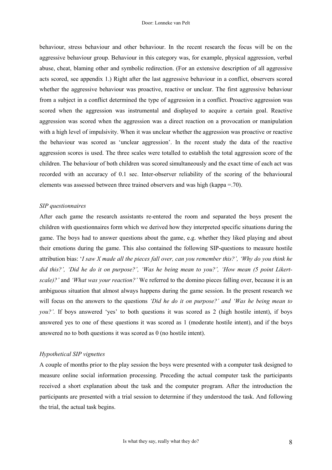behaviour, stress behaviour and other behaviour. In the recent research the focus will be on the aggressive behaviour group. Behaviour in this category was, for example, physical aggression, verbal abuse, cheat, blaming other and symbolic redirection. (For an extensive description of all aggressive acts scored, see appendix 1.) Right after the last aggressive behaviour in a conflict, observers scored whether the aggressive behaviour was proactive, reactive or unclear. The first aggressive behaviour from a subject in a conflict determined the type of aggression in a conflict. Proactive aggression was scored when the aggression was instrumental and displayed to acquire a certain goal. Reactive aggression was scored when the aggression was a direct reaction on a provocation or manipulation with a high level of impulsivity. When it was unclear whether the aggression was proactive or reactive the behaviour was scored as 'unclear aggression'. In the recent study the data of the reactive aggression scores is used. The three scales were totalled to establish the total aggression score of the children. The behaviour of both children was scored simultaneously and the exact time of each act was recorded with an accuracy of 0.1 sec. Inter-observer reliability of the scoring of the behavioural elements was assessed between three trained observers and was high (kappa =.70).

#### SIP questionnaires

After each game the research assistants re-entered the room and separated the boys present the children with questionnaires form which we derived how they interpreted specific situations during the game. The boys had to answer questions about the game, e.g. whether they liked playing and about their emotions during the game. This also contained the following SIP-questions to measure hostile attribution bias: 'I saw X made all the pieces fall over, can you remember this?', 'Why do you think he did this?', 'Did he do it on purpose?', 'Was he being mean to you?', 'How mean (5 point Likertscale)?' and 'What was your reaction?' We referred to the domino pieces falling over, because it is an ambiguous situation that almost always happens during the game session. In the present research we will focus on the answers to the questions 'Did he do it on purpose?' and 'Was he being mean to you?'. If boys answered 'yes' to both questions it was scored as 2 (high hostile intent), if boys answered yes to one of these questions it was scored as 1 (moderate hostile intent), and if the boys answered no to both questions it was scored as 0 (no hostile intent).

#### Hypothetical SIP vignettes

A couple of months prior to the play session the boys were presented with a computer task designed to measure online social information processing. Preceding the actual computer task the participants received a short explanation about the task and the computer program. After the introduction the participants are presented with a trial session to determine if they understood the task. And following the trial, the actual task begins.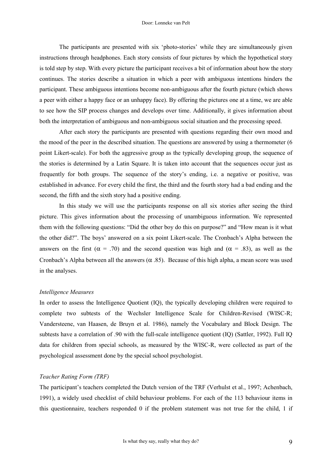The participants are presented with six 'photo-stories' while they are simultaneously given instructions through headphones. Each story consists of four pictures by which the hypothetical story is told step by step. With every picture the participant receives a bit of information about how the story continues. The stories describe a situation in which a peer with ambiguous intentions hinders the participant. These ambiguous intentions become non-ambiguous after the fourth picture (which shows a peer with either a happy face or an unhappy face). By offering the pictures one at a time, we are able to see how the SIP process changes and develops over time. Additionally, it gives information about both the interpretation of ambiguous and non-ambiguous social situation and the processing speed.

After each story the participants are presented with questions regarding their own mood and the mood of the peer in the described situation. The questions are answered by using a thermometer (6 point Likert-scale). For both the aggressive group as the typically developing group, the sequence of the stories is determined by a Latin Square. It is taken into account that the sequences occur just as frequently for both groups. The sequence of the story's ending, i.e. a negative or positive, was established in advance. For every child the first, the third and the fourth story had a bad ending and the second, the fifth and the sixth story had a positive ending.

In this study we will use the participants response on all six stories after seeing the third picture. This gives information about the processing of unambiguous information. We represented them with the following questions: "Did the other boy do this on purpose?" and "How mean is it what the other did?". The boys' answered on a six point Likert-scale. The Cronbach's Alpha between the answers on the first ( $\alpha$  = .70) and the second question was high and ( $\alpha$  = .83), as well as the Cronbach's Alpha between all the answers ( $\alpha$  .85). Because of this high alpha, a mean score was used in the analyses.

#### Intelligence Measures

In order to assess the Intelligence Quotient (IQ), the typically developing children were required to complete two subtests of the Wechsler Intelligence Scale for Children-Revised (WISC-R; Vandersteene, van Haasen, de Bruyn et al. 1986), namely the Vocabulary and Block Design. The subtests have a correlation of .90 with the full-scale intelligence quotient (IQ) (Sattler, 1992). Full IQ data for children from special schools, as measured by the WISC-R, were collected as part of the psychological assessment done by the special school psychologist.

#### Teacher Rating Form (TRF)

The participant's teachers completed the Dutch version of the TRF (Verhulst et al., 1997; Achenbach, 1991), a widely used checklist of child behaviour problems. For each of the 113 behaviour items in this questionnaire, teachers responded 0 if the problem statement was not true for the child, 1 if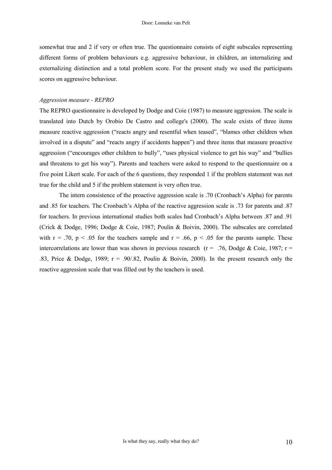somewhat true and 2 if very or often true. The questionnaire consists of eight subscales representing different forms of problem behaviours e.g. aggressive behaviour, in children, an internalizing and externalizing distinction and a total problem score. For the present study we used the participants scores on aggressive behaviour.

#### Aggression measure - REPRO

The REPRO questionnaire is developed by Dodge and Coie (1987) to measure aggression. The scale is translated into Dutch by Orobio De Castro and college's (2000). The scale exists of three items measure reactive aggression ("reacts angry and resentful when teased", "blames other children when involved in a dispute" and "reacts angry if accidents happen") and three items that measure proactive aggression ("encourages other children to bully", "uses physical violence to get his way" and "bullies and threatens to get his way"). Parents and teachers were asked to respond to the questionnaire on a five point Likert scale. For each of the 6 questions, they responded 1 if the problem statement was not true for the child and 5 if the problem statement is very often true.

 The intern consistence of the proactive aggression scale is .70 (Cronbach's Alpha) for parents and .85 for teachers. The Cronbach's Alpha of the reactive aggression scale is .73 for parents and .87 for teachers. In previous international studies both scales had Cronbach's Alpha between .87 and .91 (Crick & Dodge, 1996; Dodge & Coie, 1987; Poulin & Boivin, 2000). The subscales are correlated with  $r = .70$ ,  $p < .05$  for the teachers sample and  $r = .66$ ,  $p < .05$  for the parents sample. These intercorrelations are lower than was shown in previous research ( $r = 0.76$ , Dodge & Coie, 1987;  $r =$ .83, Price & Dodge, 1989;  $r = .90/0.82$ , Poulin & Boivin, 2000). In the present research only the reactive aggression scale that was filled out by the teachers is used.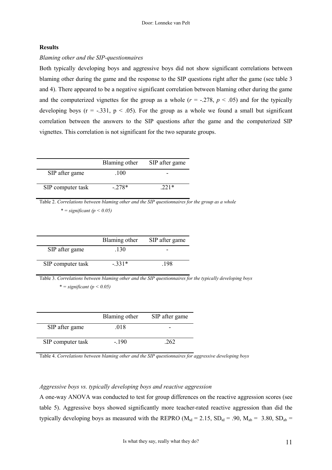#### **Results**

#### Blaming other and the SIP-questionnaires

Both typically developing boys and aggressive boys did not show significant correlations between blaming other during the game and the response to the SIP questions right after the game (see table 3 and 4). There appeared to be a negative significant correlation between blaming other during the game and the computerized vignettes for the group as a whole  $(r = -.278, p < .05)$  and for the typically developing boys ( $r = -0.331$ ,  $p < 0.05$ ). For the group as a whole we found a small but significant correlation between the answers to the SIP questions after the game and the computerized SIP vignettes. This correlation is not significant for the two separate groups.

|                   | Blaming other | SIP after game |
|-------------------|---------------|----------------|
| SIP after game    | .100          |                |
| SIP computer task | $-278*$       | $221*$         |

Table 2. Correlations between blaming other and the SIP questionnaires for the group as a whole \* = significant ( $p < 0.05$ )

|                   | Blaming other | SIP after game |
|-------------------|---------------|----------------|
| SIP after game    | .130          | -              |
| SIP computer task | $-331*$       | -198           |

Table 3. Correlations between blaming other and the SIP questionnaires for the typically developing boys  $* =$  significant ( $p < 0.05$ )

|                   | Blaming other | SIP after game |
|-------------------|---------------|----------------|
| SIP after game    | 018           |                |
| SIP computer task | - 190         | 262            |

Table 4. Correlations between blaming other and the SIP questionnaires for aggressive developing boys

#### Aggressive boys vs. typically developing boys and reactive aggression

A one-way ANOVA was conducted to test for group differences on the reactive aggression scores (see table 5). Aggressive boys showed significantly more teacher-rated reactive aggression than did the typically developing boys as measured with the REPRO ( $M_{td} = 2.15$ ,  $SD_{td} = .90$ ,  $M_{ab} = 3.80$ ,  $SD_{ab} =$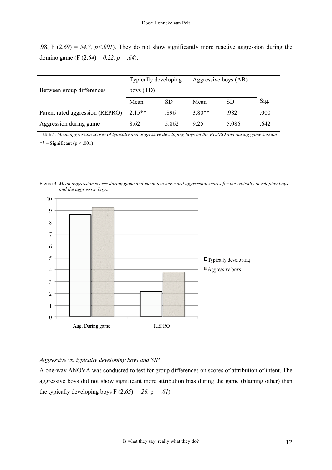.98, F (2,69) = 54.7,  $p < .001$ ). They do not show significantly more reactive aggression during the domino game (F  $(2,64) = 0.22$ ,  $p = .64$ ).

| Between group differences       | Typically developing<br>boys $(TD)$ |           | Aggressive boys (AB) |       |      |
|---------------------------------|-------------------------------------|-----------|----------------------|-------|------|
|                                 | Mean                                | <b>SD</b> | Mean                 | SD.   | Sig. |
| Parent rated aggression (REPRO) | $2.15**$                            | .896      | $3.80**$             | .982  | .000 |
| Aggression during game          | 8.62                                | 5.862     | 9 25                 | 5.086 | .642 |

Table 5. Mean aggression scores of typically and aggressive developing boys on the REPRO and during game session \*\* = Significant ( $p < .001$ )

Figure 3. Mean aggression scores during game and mean teacher-rated aggression scores for the typically developing boys and the aggressive boys.



#### Aggressive vs. typically developing boys and SIP

A one-way ANOVA was conducted to test for group differences on scores of attribution of intent. The aggressive boys did not show significant more attribution bias during the game (blaming other) than the typically developing boys  $F(2,65) = .26$ ,  $p = .61$ ).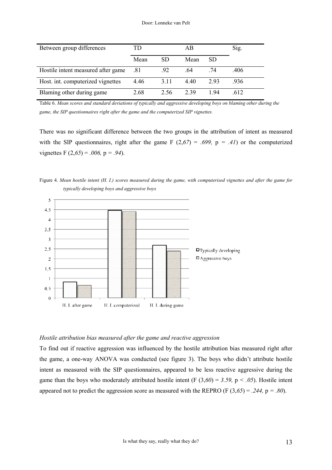| Between group differences          | TD   |           | АB   |      | Sig. |
|------------------------------------|------|-----------|------|------|------|
|                                    | Mean | <b>SD</b> | Mean | SD.  |      |
| Hostile intent measured after game | .81  | .92       | .64  | .74  | .406 |
| Host. int. computerized vignettes  | 4.46 | 3.11      | 4.40 | 2.93 | .936 |
| Blaming other during game          | 2.68 | 2.56      | 2.39 | 194  | 612  |

Table 6. Mean scores and standard deviations of typically and aggressive developing boys on blaming other during the game, the SIP questionnaires right after the game and the computerized SIP vignettes.

There was no significant difference between the two groups in the attribution of intent as measured with the SIP questionnaires, right after the game F  $(2,67) = .699$ , p = .41) or the computerized vignettes F  $(2,65) = .006$ , p = .94).





#### Hostile attribution bias measured after the game and reactive aggression

To find out if reactive aggression was influenced by the hostile attribution bias measured right after the game, a one-way ANOVA was conducted (see figure 3). The boys who didn't attribute hostile intent as measured with the SIP questionnaires, appeared to be less reactive aggressive during the game than the boys who moderately attributed hostile intent (F  $(3,60) = 3.59$ , p < .05). Hostile intent appeared not to predict the aggression score as measured with the REPRO (F  $(3,65) = .244$ , p = .80).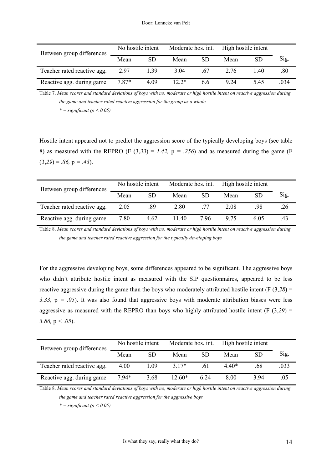| Between group differences   | No hostile intent |      |         |     | Moderate hos. int. High hostile intent |     |      |
|-----------------------------|-------------------|------|---------|-----|----------------------------------------|-----|------|
|                             | Mean              | SD   | Mean    | SD  | Mean                                   |     | Sig. |
| Teacher rated reactive agg. | 297               | 139  | 3.04    | 67  | 2.76                                   | 140 | .80  |
| Reactive agg. during game   | 7.87*             | 4.09 | $12.2*$ | 6.6 | 9.24                                   | 545 | 034  |

Table 7. Mean scores and standard deviations of boys with no, moderate or high hostile intent on reactive aggression during the game and teacher rated reactive aggression for the group as a whole

\* = significant ( $p < 0.05$ )

Hostile intent appeared not to predict the aggression score of the typically developing boys (see table 8) as measured with the REPRO (F  $(3,33) = 1.42$ , p = .256) and as measured during the game (F  $(3,29) = .86$ ,  $p = .43$ ).

| Between group differences   | No hostile intent |      | Moderate hos. int. |     | High hostile intent |       |      |
|-----------------------------|-------------------|------|--------------------|-----|---------------------|-------|------|
|                             | Mean              | SD.  | Mean               | SD  | Mean                | SD    | Sig. |
| Teacher rated reactive agg. | 2.05              | .89  | 2.80               |     | 2.08                | .98   | .26  |
| Reactive agg. during game   | 7.80              | 4.62 | 11.40              | 796 | 9.75                | 6 0 5 | 43   |

Table 8. Mean scores and standard deviations of boys with no, moderate or high hostile intent on reactive aggression during the game and teacher rated reactive aggression for the typically developing boys

For the aggressive developing boys, some differences appeared to be significant. The aggressive boys who didn't attribute hostile intent as measured with the SIP questionnaires, appeared to be less reactive aggressive during the game than the boys who moderately attributed hostile intent (F  $(3,28)$ ) = 3.33,  $p = .05$ ). It was also found that aggressive boys with moderate attribution biases were less aggressive as measured with the REPRO than boys who highly attributed hostile intent (F  $(3,29)$ ) = 3.86,  $p < .05$ ).

| Between group differences   | No hostile intent |      |          |      | Moderate hos. int. High hostile intent |      |      |
|-----------------------------|-------------------|------|----------|------|----------------------------------------|------|------|
|                             | Mean              | SD   | Mean     | SD   | Mean                                   |      | Sig. |
| Teacher rated reactive agg. | 4.00              | 1 09 | $3.17*$  | 61   | $4.40*$                                | .68  | .033 |
| Reactive agg. during game   | 794*              | 3.68 | $12.60*$ | 6.24 | 8.00                                   | 3.94 | .05  |

Table 8. Mean scores and standard deviations of boys with no, moderate or high hostile intent on reactive aggression during the game and teacher rated reactive aggression for the aggressive boys

\* = significant ( $p < 0.05$ )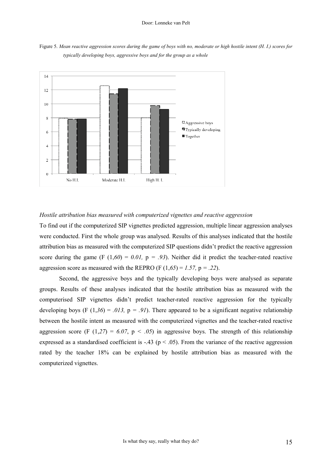



#### Hostile attribution bias measured with computerized vignettes and reactive aggression

To find out if the computerized SIP vignettes predicted aggression, multiple linear aggression analyses were conducted. First the whole group was analysed. Results of this analyses indicated that the hostile attribution bias as measured with the computerized SIP questions didn't predict the reactive aggression score during the game (F (1,60) = 0.01, p = .93). Neither did it predict the teacher-rated reactive aggression score as measured with the REPRO (F  $(1.65) = 1.57$ , p = .22).

Second, the aggressive boys and the typically developing boys were analysed as separate groups. Results of these analyses indicated that the hostile attribution bias as measured with the computerised SIP vignettes didn't predict teacher-rated reactive aggression for the typically developing boys (F (1,36) = .013, p = .91). There appeared to be a significant negative relationship between the hostile intent as measured with the computerized vignettes and the teacher-rated reactive aggression score (F (1,27) = 6.07, p < .05) in aggressive boys. The strength of this relationship expressed as a standardised coefficient is -.43 ( $p < .05$ ). From the variance of the reactive aggression rated by the teacher 18% can be explained by hostile attribution bias as measured with the computerized vignettes.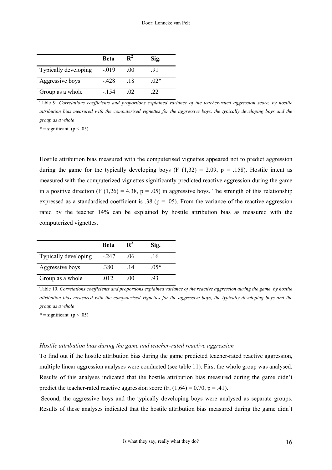|                      | <b>Beta</b> | $\mathbf{R}^2$ | Sig.  |
|----------------------|-------------|----------------|-------|
| Typically developing | $-.019$     | (0()           | 91    |
| Aggressive boys      | - 428       | -18            | $02*$ |
| Group as a whole     | $-154$      | 02             | 22    |

Table 9. Correlations coefficients and proportions explained variance of the teacher-rated aggression score, by hostile attribution bias measured with the computerised vignettes for the aggressive boys, the typically developing boys and the group as a whole

\* = significant ( $p < .05$ )

Hostile attribution bias measured with the computerised vignettes appeared not to predict aggression during the game for the typically developing boys (F  $(1,32) = 2.09$ , p = .158). Hostile intent as measured with the computerized vignettes significantly predicted reactive aggression during the game in a positive direction (F (1,26) = 4.38, p = .05) in aggressive boys. The strength of this relationship expressed as a standardised coefficient is .38 ( $p = .05$ ). From the variance of the reactive aggression rated by the teacher 14% can be explained by hostile attribution bias as measured with the computerized vignettes.

|                      | <b>Beta</b> | $\mathbf{R}^2$ | Sig.   |
|----------------------|-------------|----------------|--------|
| Typically developing | -.247       | -06            | .16    |
| Aggressive boys      | .380        | -14            | $.05*$ |
| Group as a whole     | 012         | $($ $()()$     | 93     |

Table 10. Correlations coefficients and proportions explained variance of the reactive aggression during the game, by hostile attribution bias measured with the computerised vignettes for the aggressive boys, the typically developing boys and the group as a whole

\* = significant ( $p < .05$ )

#### Hostile attribution bias during the game and teacher-rated reactive aggression

To find out if the hostile attribution bias during the game predicted teacher-rated reactive aggression, multiple linear aggression analyses were conducted (see table 11). First the whole group was analysed. Results of this analyses indicated that the hostile attribution bias measured during the game didn't predict the teacher-rated reactive aggression score  $(F, (1, 64) = 0.70, p = .41)$ .

 Second, the aggressive boys and the typically developing boys were analysed as separate groups. Results of these analyses indicated that the hostile attribution bias measured during the game didn't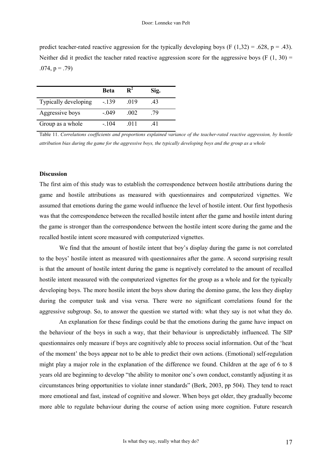predict teacher-rated reactive aggression for the typically developing boys (F (1,32) = .628, p = .43). Neither did it predict the teacher rated reactive aggression score for the aggressive boys (F  $(1, 30)$  =  $.074, p = .79$ 

|                      | Beta   | $\mathbf{R}^2$ | Sig. |
|----------------------|--------|----------------|------|
| Typically developing | $-139$ | .019           | 43   |
| Aggressive boys      | $-049$ | -002           | -79  |
| Group as a whole     | $-104$ | -011           | 41   |

Table 11. Correlations coefficients and proportions explained variance of the teacher-rated reactive aggression, by hostile attribution bias during the game for the aggressive boys, the typically developing boys and the group as a whole

#### **Discussion**

The first aim of this study was to establish the correspondence between hostile attributions during the game and hostile attributions as measured with questionnaires and computerized vignettes. We assumed that emotions during the game would influence the level of hostile intent. Our first hypothesis was that the correspondence between the recalled hostile intent after the game and hostile intent during the game is stronger than the correspondence between the hostile intent score during the game and the recalled hostile intent score measured with computerized vignettes.

We find that the amount of hostile intent that boy's display during the game is not correlated to the boys' hostile intent as measured with questionnaires after the game. A second surprising result is that the amount of hostile intent during the game is negatively correlated to the amount of recalled hostile intent measured with the computerized vignettes for the group as a whole and for the typically developing boys. The more hostile intent the boys show during the domino game, the less they display during the computer task and visa versa. There were no significant correlations found for the aggressive subgroup. So, to answer the question we started with: what they say is not what they do.

 An explanation for these findings could be that the emotions during the game have impact on the behaviour of the boys in such a way, that their behaviour is unpredictably influenced. The SIP questionnaires only measure if boys are cognitively able to process social information. Out of the 'heat of the moment' the boys appear not to be able to predict their own actions. (Emotional) self-regulation might play a major role in the explanation of the difference we found. Children at the age of 6 to 8 years old are beginning to develop "the ability to monitor one's own conduct, constantly adjusting it as circumstances bring opportunities to violate inner standards" (Berk, 2003, pp 504). They tend to react more emotional and fast, instead of cognitive and slower. When boys get older, they gradually become more able to regulate behaviour during the course of action using more cognition. Future research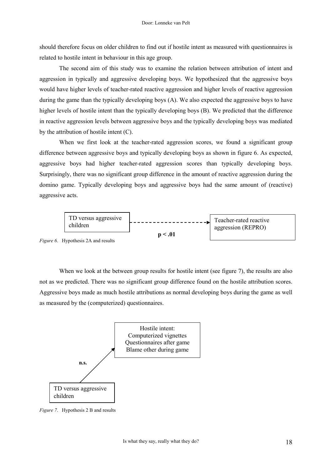should therefore focus on older children to find out if hostile intent as measured with questionnaires is related to hostile intent in behaviour in this age group.

The second aim of this study was to examine the relation between attribution of intent and aggression in typically and aggressive developing boys. We hypothesized that the aggressive boys would have higher levels of teacher-rated reactive aggression and higher levels of reactive aggression during the game than the typically developing boys (A). We also expected the aggressive boys to have higher levels of hostile intent than the typically developing boys (B). We predicted that the difference in reactive aggression levels between aggressive boys and the typically developing boys was mediated by the attribution of hostile intent (C).

When we first look at the teacher-rated aggression scores, we found a significant group difference between aggressive boys and typically developing boys as shown in figure 6. As expected, aggressive boys had higher teacher-rated aggression scores than typically developing boys. Surprisingly, there was no significant group difference in the amount of reactive aggression during the domino game. Typically developing boys and aggressive boys had the same amount of (reactive) aggressive acts.



Figure 6. Hypothesis 2A and results

When we look at the between group results for hostile intent (see figure 7), the results are also not as we predicted. There was no significant group difference found on the hostile attribution scores. Aggressive boys made as much hostile attributions as normal developing boys during the game as well as measured by the (computerized) questionnaires.



Figure 7. Hypothesis 2 B and results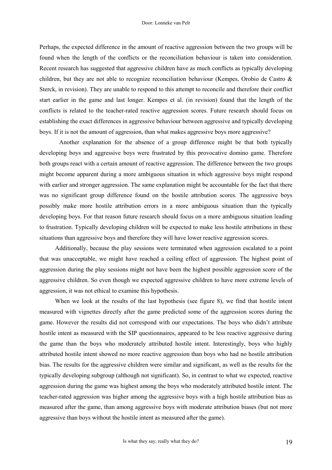Perhaps, the expected difference in the amount of reactive aggression between the two groups will be found when the length of the conflicts or the reconciliation behaviour is taken into consideration. Recent research has suggested that aggressive children have as much conflicts as typically developing children, but they are not able to recognize reconciliation behaviour (Kempes, Orobio de Castro & Sterck, in revision). They are unable to respond to this attempt to reconcile and therefore their conflict start earlier in the game and last longer. Kempes et al. (in revision) found that the length of the conflicts is related to the teacher-rated reactive aggression scores. Future research should focus on establishing the exact differences in aggressive behaviour between aggressive and typically developing boys. If it is not the amount of aggression, than what makes aggressive boys more aggressive?

Another explanation for the absence of a group difference might be that both typically developing boys and aggressive boys were frustrated by this provocative domino game. Therefore both groups react with a certain amount of reactive aggression. The difference between the two groups might become apparent during a more ambiguous situation in which aggressive boys might respond with earlier and stronger aggression. The same explanation might be accountable for the fact that there was no significant group difference found on the hostile attribution scores. The aggressive boys possibly make more hostile attribution errors in a more ambiguous situation than the typically developing boys. For that reason future research should focus on a more ambiguous situation leading to frustration. Typically developing children will be expected to make less hostile attributions in these situations than aggressive boys and therefore they will have lower reactive aggression scores.

 Additionally, because the play sessions were terminated when aggression escalated to a point that was unacceptable, we might have reached a ceiling effect of aggression. The highest point of aggression during the play sessions might not have been the highest possible aggression score of the aggressive children. So even though we expected aggressive children to have more extreme levels of aggression, it was not ethical to examine this hypothesis.

 When we look at the results of the last hypothesis (see figure 8), we find that hostile intent measured with vignettes directly after the game predicted some of the aggression scores during the game. However the results did not correspond with our expectations. The boys who didn't attribute hostile intent as measured with the SIP questionnaires, appeared to be less reactive aggressive during the game than the boys who moderately attributed hostile intent. Interestingly, boys who highly attributed hostile intent showed no more reactive aggression than boys who had no hostile attribution bias. The results for the aggressive children were similar and significant, as well as the results for the typically developing subgroup (although not significant). So, in contrast to what we expected, reactive aggression during the game was highest among the boys who moderately attributed hostile intent. The teacher-rated aggression was higher among the aggressive boys with a high hostile attribution bias as measured after the game, than among aggressive boys with moderate attribution biases (but not more aggressive than boys without the hostile intent as measured after the game).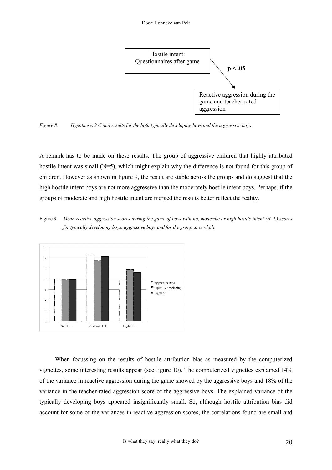

Figure 8. Hypothesis 2 C and results for the both typically developing boys and the aggressive boys

A remark has to be made on these results. The group of aggressive children that highly attributed hostile intent was small (N=5), which might explain why the difference is not found for this group of children. However as shown in figure 9, the result are stable across the groups and do suggest that the high hostile intent boys are not more aggressive than the moderately hostile intent boys. Perhaps, if the groups of moderate and high hostile intent are merged the results better reflect the reality.

Figure 9. Mean reactive aggression scores during the game of boys with no, moderate or high hostile intent (H. I.) scores for typically developing boys, aggressive boys and for the group as a whole



 When focussing on the results of hostile attribution bias as measured by the computerized vignettes, some interesting results appear (see figure 10). The computerized vignettes explained 14% of the variance in reactive aggression during the game showed by the aggressive boys and 18% of the variance in the teacher-rated aggression score of the aggressive boys. The explained variance of the typically developing boys appeared insignificantly small. So, although hostile attribution bias did account for some of the variances in reactive aggression scores, the correlations found are small and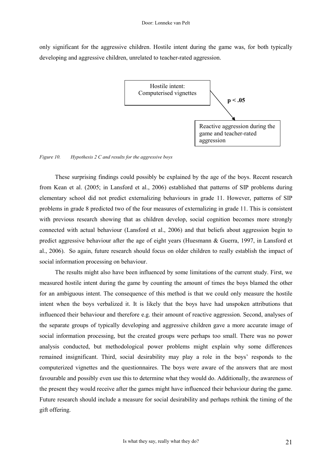only significant for the aggressive children. Hostile intent during the game was, for both typically developing and aggressive children, unrelated to teacher-rated aggression.



Figure 10. Hypothesis 2 C and results for the aggressive boys

 These surprising findings could possibly be explained by the age of the boys. Recent research from Kean et al. (2005; in Lansford et al., 2006) established that patterns of SIP problems during elementary school did not predict externalizing behaviours in grade 11. However, patterns of SIP problems in grade 8 predicted two of the four measures of externalizing in grade 11. This is consistent with previous research showing that as children develop, social cognition becomes more strongly connected with actual behaviour (Lansford et al., 2006) and that beliefs about aggression begin to predict aggressive behaviour after the age of eight years (Huesmann & Guerra, 1997, in Lansford et al., 2006). So again, future research should focus on older children to really establish the impact of social information processing on behaviour.

 The results might also have been influenced by some limitations of the current study. First, we measured hostile intent during the game by counting the amount of times the boys blamed the other for an ambiguous intent. The consequence of this method is that we could only measure the hostile intent when the boys verbalized it. It is likely that the boys have had unspoken attributions that influenced their behaviour and therefore e.g. their amount of reactive aggression. Second, analyses of the separate groups of typically developing and aggressive children gave a more accurate image of social information processing, but the created groups were perhaps too small. There was no power analysis conducted, but methodological power problems might explain why some differences remained insignificant. Third, social desirability may play a role in the boys' responds to the computerized vignettes and the questionnaires. The boys were aware of the answers that are most favourable and possibly even use this to determine what they would do. Additionally, the awareness of the present they would receive after the games might have influenced their behaviour during the game. Future research should include a measure for social desirability and perhaps rethink the timing of the gift offering.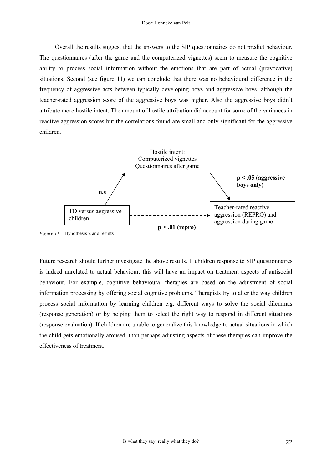Overall the results suggest that the answers to the SIP questionnaires do not predict behaviour. The questionnaires (after the game and the computerized vignettes) seem to measure the cognitive ability to process social information without the emotions that are part of actual (provocative) situations. Second (see figure 11) we can conclude that there was no behavioural difference in the frequency of aggressive acts between typically developing boys and aggressive boys, although the teacher-rated aggression score of the aggressive boys was higher. Also the aggressive boys didn't attribute more hostile intent. The amount of hostile attribution did account for some of the variances in reactive aggression scores but the correlations found are small and only significant for the aggressive children.



Figure 11. Hypothesis 2 and results

Future research should further investigate the above results. If children response to SIP questionnaires is indeed unrelated to actual behaviour, this will have an impact on treatment aspects of antisocial behaviour. For example, cognitive behavioural therapies are based on the adjustment of social information processing by offering social cognitive problems. Therapists try to alter the way children process social information by learning children e.g. different ways to solve the social dilemmas (response generation) or by helping them to select the right way to respond in different situations (response evaluation). If children are unable to generalize this knowledge to actual situations in which the child gets emotionally aroused, than perhaps adjusting aspects of these therapies can improve the effectiveness of treatment.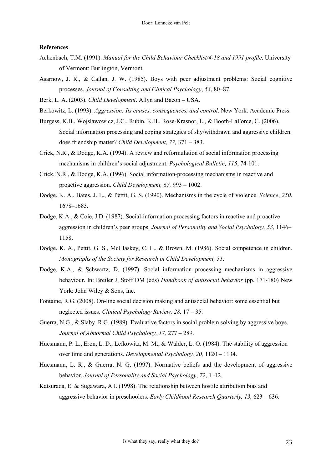#### **References**

- Achenbach, T.M. (1991). Manual for the Child Behaviour Checklist/4-18 and 1991 profile. University of Vermont: Burlington, Vermont.
- Asarnow, J. R., & Callan, J. W. (1985). Boys with peer adjustment problems: Social cognitive processes. Journal of Consulting and Clinical Psychology, 53, 80–87.
- Berk, L. A. (2003). Child Development. Allyn and Bacon USA.
- Berkowitz, L. (1993). Aggression: Its causes, consequences, and control. New York: Academic Press.
- Burgess, K.B., Wojslawowicz, J.C., Rubin, K.H., Rose-Krasnor, L., & Booth-LaForce, C. (2006). Social information processing and coping strategies of shy/withdrawn and aggressive children: does friendship matter? Child Development, 77, 371 – 383.
- Crick, N.R., & Dodge, K.A. (1994). A review and reformulation of social information processing mechanisms in children's social adjustment. Psychological Bulletin, 115, 74-101.
- Crick, N.R., & Dodge, K.A. (1996). Social information-processing mechanisms in reactive and proactive aggression. Child Development, 67, 993 – 1002.
- Dodge, K. A., Bates, J. E., & Pettit, G. S. (1990). Mechanisms in the cycle of violence. Science, 250, 1678–1683.
- Dodge, K.A., & Coie, J.D. (1987). Social-information processing factors in reactive and proactive aggression in children's peer groups. Journal of Personality and Social Psychology, 53, 1146– 1158.
- Dodge, K. A., Pettit, G. S., McClaskey, C. L., & Brown, M. (1986). Social competence in children. Monographs of the Society for Research in Child Development, 51.
- Dodge, K.A., & Schwartz, D. (1997). Social information processing mechanisms in aggressive behaviour. In: Breiler J, Stoff DM (eds) Handbook of antisocial behavior (pp. 171-180) New York: John Wiley & Sons, Inc.
- Fontaine, R.G. (2008). On-line social decision making and antisocial behavior: some essential but neglected issues. Clinical Psychology Review, 28, 17 – 35.
- Guerra, N.G., & Slaby, R.G. (1989). Evaluative factors in social problem solving by aggressive boys. Journal of Abnormal Child Psychology, 17, 277 – 289.
- Huesmann, P. L., Eron, L. D., Lefkowitz, M. M., & Walder, L. O. (1984). The stability of aggression over time and generations. Developmental Psychology, 20, 1120 – 1134.
- Huesmann, L. R., & Guerra, N. G. (1997). Normative beliefs and the development of aggressive behavior. Journal of Personality and Social Psychology, 72, 1–12.
- Katsurada, E. & Sugawara, A.I. (1998). The relationship between hostile attribution bias and aggressive behavior in preschoolers. Early Childhood Research Quarterly, 13, 623 – 636.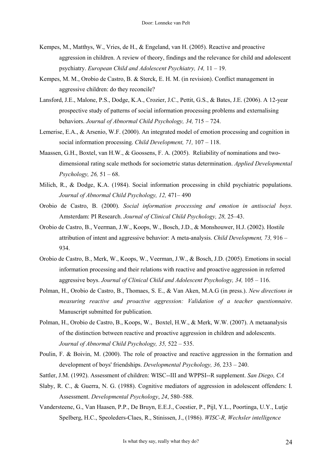- Kempes, M., Matthys, W., Vries, de H., & Engeland, van H. (2005). Reactive and proactive aggression in children. A review of theory, findings and the relevance for child and adolescent psychiatry. European Child and Adolescent Psychiatry, 14, 11 – 19.
- Kempes, M. M., Orobio de Castro, B. & Sterck, E. H. M. (in revision). Conflict management in aggressive children: do they reconcile?
- Lansford, J.E., Malone, P.S., Dodge, K.A., Crozier, J.C., Pettit, G.S., & Bates, J.E. (2006). A 12-year prospective study of patterns of social information processing problems and externalising behaviors. Journal of Abnormal Child Psychology, 34, 715 – 724.
- Lemerise, E.A., & Arsenio, W.F. (2000). An integrated model of emotion processing and cognition in social information processing. Child Development, 71, 107 – 118.
- Maassen, G.H., Boxtel, van H.W., & Goossens, F. A. (2005). Reliability of nominations and twodimensional rating scale methods for sociometric status determination. Applied Developmental Psychology, 26,  $51 - 68$ .
- Milich, R., & Dodge, K.A. (1984). Social information processing in child psychiatric populations. Journal of Abnormal Child Psychology, 12, 471– 490
- Orobio de Castro, B. (2000). Social information processing and emotion in antisocial boys. Amsterdam: PI Research. Journal of Clinical Child Psychology, 28, 25–43.
- Orobio de Castro, B., Veerman, J.W., Koops, W., Bosch, J.D., & Monshouwer, H.J. (2002). Hostile attribution of intent and aggressive behavior: A meta-analysis. Child Development, 73, 916 – 934.
- Orobio de Castro, B., Merk, W., Koops, W., Veerman, J.W., & Bosch, J.D. (2005). Emotions in social information processing and their relations with reactive and proactive aggression in referred aggressive boys. Journal of Clinical Child and Adolescent Psychology, 34, 105 – 116.
- Polman, H., Orobio de Castro, B., Thomaes, S. E., & Van Aken, M.A.G (in press.). New directions in measuring reactive and proactive aggression: Validation of a teacher questionnaire. Manuscript submitted for publication.
- Polman, H., Orobio de Castro, B., Koops, W., Boxtel, H.W., & Merk, W.W. (2007). A metaanalysis of the distinction between reactive and proactive aggression in children and adolescents. Journal of Abnormal Child Psychology, 35, 522 – 535.
- Poulin, F. & Boivin, M. (2000). The role of proactive and reactive aggression in the formation and development of boys' friendships. Developmental Psychology, 36, 233 – 240.
- Sattler, J.M. (1992). Assessment of children: WISC--III and WPPSI--R supplement. San Diego, CA
- Slaby, R. C., & Guerra, N. G. (1988). Cognitive mediators of aggression in adolescent offenders: I. Assessment. Developmental Psychology, 24, 580–588.
- Vandersteene, G., Van Haasen, P.P., De Bruyn, E.E.J., Coestier, P., Pijl, Y.L., Poortinga, U.Y., Lutje Spelberg, H.C., Speoleders-Claes, R., Stinissen, J., (1986). WISC-R, Wechsler intelligence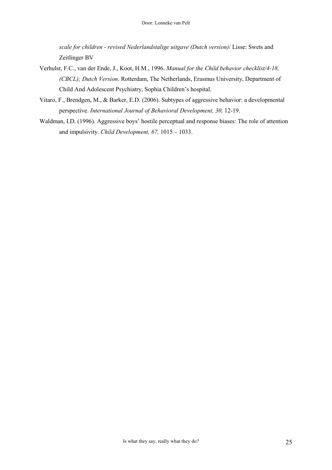scale for children - revised Nederlandstalige uitgave (Dutch version)/ Lisse: Swets and Zeitlinger BV

- Verhulst, F.C., van der Ende, J., Koot, H.M., 1996. Manual for the Child behavior checklist/4-18, (CBCL); Dutch Version. Rotterdam, The Netherlands, Erasmus University, Department of Child And Adolescent Psychiatry, Sophia Children's hospital.
- Vitaro, F., Brendgen, M., & Barker, E.D. (2006). Subtypes of aggressive behavior: a developmental perspective. International Journal of Behavioral Development, 30, 12-19.
- Waldman, I.D. (1996). Aggressive boys' hostile perceptual and response biases: The role of attention and impulsivity. Child Development, 67, 1015 – 1033.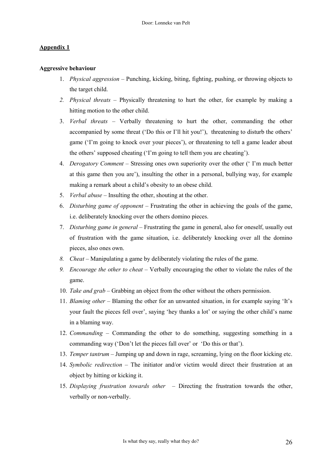#### Appendix 1

#### Aggressive behaviour

- 1. Physical aggression Punching, kicking, biting, fighting, pushing, or throwing objects to the target child.
- 2. Physical threats Physically threatening to hurt the other, for example by making a hitting motion to the other child.
- 3. Verbal threats Verbally threatening to hurt the other, commanding the other accompanied by some threat ('Do this or I'll hit you!'), threatening to disturb the others' game ('I'm going to knock over your pieces'), or threatening to tell a game leader about the others' supposed cheating ('I'm going to tell them you are cheating').
- 4. Derogatory Comment Stressing ones own superiority over the other (' I'm much better at this game then you are'), insulting the other in a personal, bullying way, for example making a remark about a child's obesity to an obese child.
- 5. Verbal abuse Insulting the other, shouting at the other.
- 6. Disturbing game of opponent  $-$  Frustrating the other in achieving the goals of the game, i.e. deliberately knocking over the others domino pieces.
- 7. Disturbing game in general Frustrating the game in general, also for oneself, usually out of frustration with the game situation, i.e. deliberately knocking over all the domino pieces, also ones own.
- 8. Cheat Manipulating a game by deliberately violating the rules of the game.
- 9. Encourage the other to cheat Verbally encouraging the other to violate the rules of the game.
- 10. Take and grab Grabbing an object from the other without the others permission.
- 11. Blaming other Blaming the other for an unwanted situation, in for example saying 'It's your fault the pieces fell over', saying 'hey thanks a lot' or saying the other child's name in a blaming way.
- 12. Commanding Commanding the other to do something, suggesting something in a commanding way ('Don't let the pieces fall over' or 'Do this or that').
- 13. Temper tantrum Jumping up and down in rage, screaming, lying on the floor kicking etc.
- 14. Symbolic redirection The initiator and/or victim would direct their frustration at an object by hitting or kicking it.
- 15. Displaying frustration towards other Directing the frustration towards the other, verbally or non-verbally.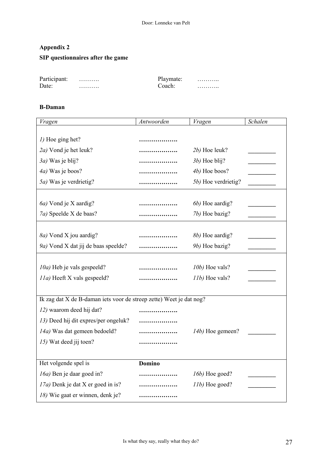## Appendix 2

## SIP questionnaires after the game

| Participant: | . | Playmate: | . |
|--------------|---|-----------|---|
| Date:        | . | Coach:    | . |

#### B-Daman

| Vragen                                                              | Antwoorden    | <b>Vragen</b>       | Schalen |
|---------------------------------------------------------------------|---------------|---------------------|---------|
|                                                                     |               |                     |         |
| 1) Hoe ging het?                                                    |               |                     |         |
| 2a) Vond je het leuk?                                               |               | 2b) Hoe leuk?       |         |
| 3a) Was je blij?                                                    | .             | 3b) Hoe blij?       |         |
| 4a) Was je boos?                                                    |               | 4b) Hoe boos?       |         |
| 5a) Was je verdrietig?                                              |               | 5b) Hoe verdrietig? |         |
|                                                                     |               |                     |         |
| 6a) Vond je X aardig?                                               |               | 6b) Hoe aardig?     |         |
| 7a) Speelde X de baas?                                              |               | 7b) Hoe bazig?      |         |
|                                                                     |               |                     |         |
| 8a) Vond X jou aardig?                                              |               | 8b) Hoe aardig?     |         |
| 9a) Vond X dat jij de baas speelde?                                 | .             | 9b) Hoe bazig?      |         |
|                                                                     |               |                     |         |
| 10a) Heb je vals gespeeld?                                          |               | 10b) Hoe vals?      |         |
| 11a) Heeft X vals gespeeld?                                         |               | 11b) Hoe vals?      |         |
|                                                                     |               |                     |         |
| Ik zag dat X de B-daman iets voor de streep zette) Weet je dat nog? |               |                     |         |
| 12) waarom deed hij dat?                                            |               |                     |         |
| 13) Deed hij dit expres/per ongeluk?                                |               |                     |         |
| 14a) Was dat gemeen bedoeld?                                        |               | 14b) Hoe gemeen?    |         |
| 15) Wat deed jij toen?                                              |               |                     |         |
|                                                                     |               |                     |         |
| Het volgende spel is                                                | <b>Domino</b> |                     |         |
| 16a) Ben je daar goed in?                                           | .             | 16b) Hoe goed?      |         |
| 17a) Denk je dat X er goed in is?                                   |               | 11b) Hoe goed?      |         |
| 18) Wie gaat er winnen, denk je?                                    |               |                     |         |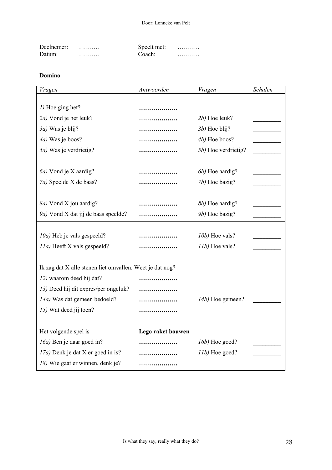| Deelnemer: | . | Speelt met: | . |
|------------|---|-------------|---|
| Datum:     | . | Coach:      | . |

#### Domino

| Vragen                                                   | Antwoorden        | Vragen              | Schalen |
|----------------------------------------------------------|-------------------|---------------------|---------|
|                                                          |                   |                     |         |
| 1) Hoe ging het?                                         |                   |                     |         |
| 2a) Vond je het leuk?                                    |                   | 2b) Hoe leuk?       |         |
| 3a) Was je blij?                                         |                   | 3b) Hoe blij?       |         |
| 4a) Was je boos?                                         |                   | 4b) Hoe boos?       |         |
| 5a) Was je verdrietig?                                   |                   | 5b) Hoe verdrietig? |         |
|                                                          |                   |                     |         |
| 6a) Vond je X aardig?                                    |                   | 6b) Hoe aardig?     |         |
| 7a) Speelde X de baas?                                   |                   | 7b) Hoe bazig?      |         |
|                                                          |                   |                     |         |
| 8a) Vond X jou aardig?                                   |                   | 8b) Hoe aardig?     |         |
| 9a) Vond X dat jij de baas speelde?                      | .                 | 9b) Hoe bazig?      |         |
|                                                          |                   |                     |         |
| 10a) Heb je vals gespeeld?                               |                   | 10b) Hoe vals?      |         |
| 11a) Heeft X vals gespeeld?                              |                   | 11b) Hoe vals?      |         |
|                                                          |                   |                     |         |
| Ik zag dat X alle stenen liet omvallen. Weet je dat nog? |                   |                     |         |
| 12) waarom deed hij dat?                                 |                   |                     |         |
| 13) Deed hij dit expres/per ongeluk?                     | .                 |                     |         |
| 14a) Was dat gemeen bedoeld?                             |                   | 14b) Hoe gemeen?    |         |
| 15) Wat deed jij toen?                                   |                   |                     |         |
|                                                          |                   |                     |         |
| Het volgende spel is                                     | Lego raket bouwen |                     |         |
| 16a) Ben je daar goed in?                                | .                 | 16b) Hoe goed?      |         |
| 17a) Denk je dat X er goed in is?                        |                   | 11b) Hoe goed?      |         |
| 18) Wie gaat er winnen, denk je?                         | .                 |                     |         |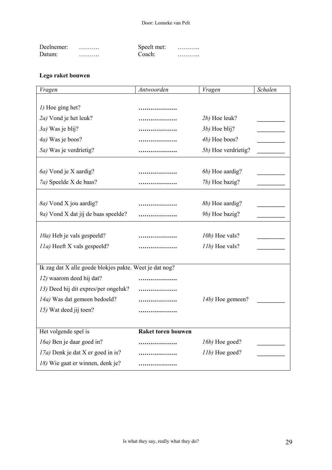| Deelnemer: | . | Speelt met: | . |
|------------|---|-------------|---|
| Datum:     | . | Coach:      | . |

### Lego raket bouwen

| Vragen                                                  | Antwoorden                | <b>Vragen</b>       | Schalen |
|---------------------------------------------------------|---------------------------|---------------------|---------|
|                                                         |                           |                     |         |
| 1) Hoe ging het?                                        |                           |                     |         |
| 2a) Vond je het leuk?                                   |                           | 2b) Hoe leuk?       |         |
| 3a) Was je blij?                                        |                           | 3b) Hoe blij?       |         |
| 4a) Was je boos?                                        |                           | 4b) Hoe boos?       |         |
| 5a) Was je verdrietig?                                  |                           | 5b) Hoe verdrietig? |         |
|                                                         |                           |                     |         |
| 6a) Vond je X aardig?                                   |                           | 6b) Hoe aardig?     |         |
| 7a) Speelde X de baas?                                  |                           | 7b) Hoe bazig?      |         |
|                                                         |                           |                     |         |
| 8a) Vond X jou aardig?                                  |                           | 8b) Hoe aardig?     |         |
| 9a) Vond X dat jij de baas speelde?                     |                           | 9b) Hoe bazig?      |         |
|                                                         |                           |                     |         |
| 10a) Heb je vals gespeeld?                              |                           | 10b) Hoe vals?      |         |
| 11a) Heeft X vals gespeeld?                             |                           | 11b) Hoe vals?      |         |
|                                                         |                           |                     |         |
| Ik zag dat X alle goede blokjes pakte. Weet je dat nog? |                           |                     |         |
| 12) waarom deed hij dat?                                |                           |                     |         |
| 13) Deed hij dit expres/per ongeluk?                    |                           |                     |         |
| 14a) Was dat gemeen bedoeld?                            |                           | 14b) Hoe gemeen?    |         |
| 15) Wat deed jij toen?                                  |                           |                     |         |
|                                                         |                           |                     |         |
| Het volgende spel is                                    | <b>Raket toren bouwen</b> |                     |         |
| 16a) Ben je daar goed in?                               |                           | 16b) Hoe goed?      |         |
| 17a) Denk je dat X er goed in is?                       |                           | 11b) Hoe goed?      |         |
| 18) Wie gaat er winnen, denk je?                        |                           |                     |         |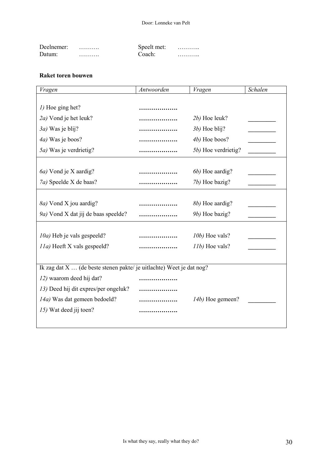| Deelnemer: | . | Speelt met: | . |
|------------|---|-------------|---|
| Datum:     | . | Coach:      | . |

#### Raket toren bouwen

| <b>Vragen</b>                                                        | Antwoorden | <b>Vragen</b>       | Schalen |
|----------------------------------------------------------------------|------------|---------------------|---------|
|                                                                      |            |                     |         |
| 1) Hoe ging het?                                                     |            |                     |         |
| 2a) Vond je het leuk?                                                |            | 2b) Hoe leuk?       |         |
| 3a) Was je blij?                                                     |            | 3b) Hoe blij?       |         |
| 4a) Was je boos?                                                     |            | 4b) Hoe boos?       |         |
| 5a) Was je verdrietig?                                               |            | 5b) Hoe verdrietig? |         |
|                                                                      |            |                     |         |
| 6a) Vond je X aardig?                                                |            | 6b) Hoe aardig?     |         |
| 7a) Speelde X de baas?                                               |            | 7b) Hoe bazig?      |         |
|                                                                      |            |                     |         |
| 8a) Vond X jou aardig?                                               |            | 8b) Hoe aardig?     |         |
| 9a) Vond X dat jij de baas speelde?                                  |            | 9b) Hoe bazig?      |         |
|                                                                      |            |                     |         |
| 10a) Heb je vals gespeeld?                                           |            | 10b) Hoe vals?      |         |
| <i>IIa</i> ) Heeft X vals gespeeld?                                  |            | 11b) Hoe vals?      |         |
|                                                                      |            |                     |         |
| Ik zag dat X  (de beste stenen pakte/ je uitlachte) Weet je dat nog? |            |                     |         |
| 12) waarom deed hij dat?                                             | .          |                     |         |
| 13) Deed hij dit expres/per ongeluk?                                 |            |                     |         |
| 14a) Was dat gemeen bedoeld?                                         |            | 14b) Hoe gemeen?    |         |
| 15) Wat deed jij toen?                                               |            |                     |         |
|                                                                      |            |                     |         |